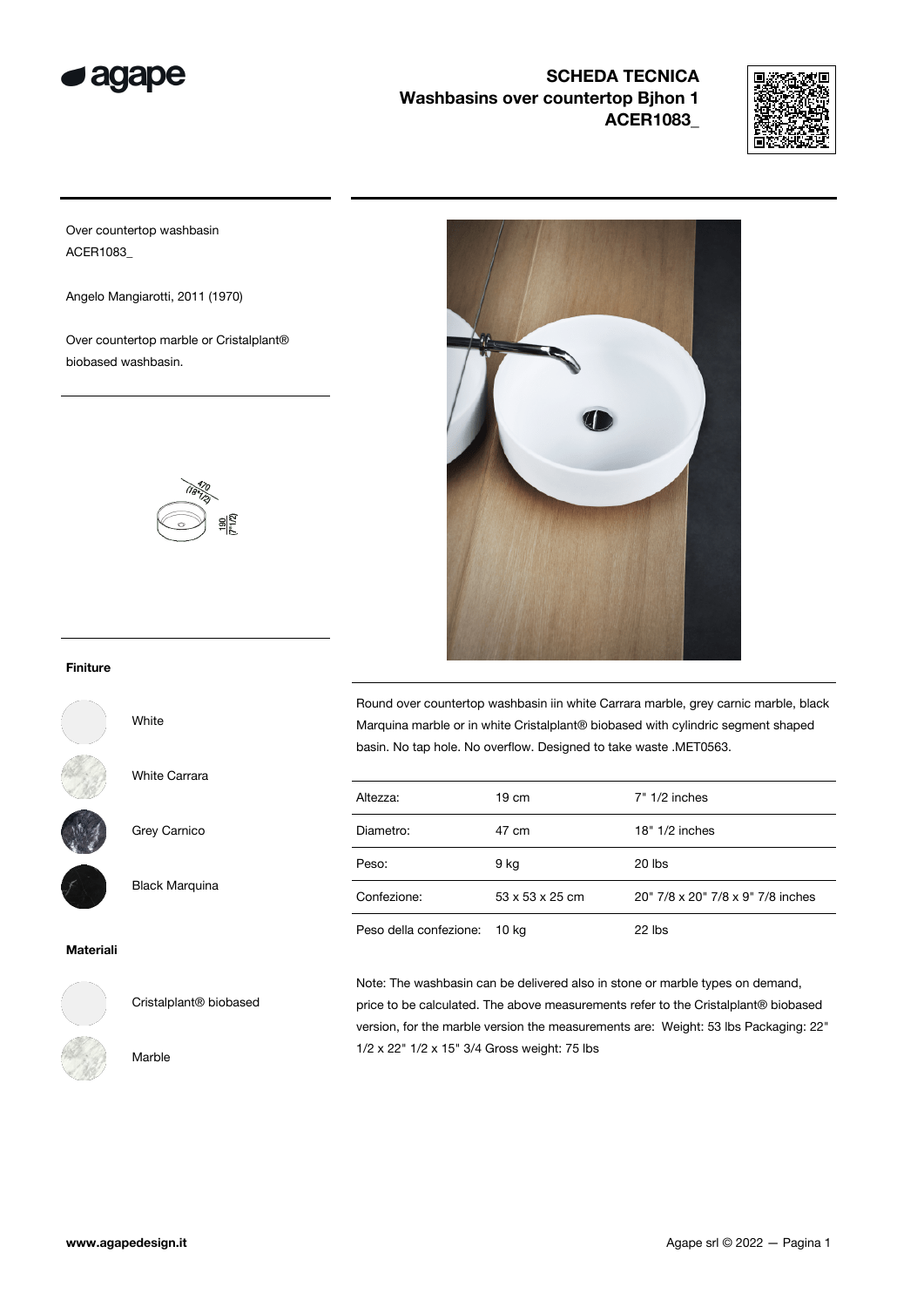



Over countertop washbasin ACER1083\_

Angelo Mangiarotti, 2011 (1970)

Over countertop marble or Cristalplant® biobased washbasin.



#### Finiture



White

White Carrara



Grey Carnico

Black Marquina

#### Materiali



Cristalplant® biobased

Marble



Round over countertop washbasin iin white Carrara marble, grey carnic marble, black Marquina marble or in white Cristalplant® biobased with cylindric segment shaped basin. No tap hole. No overflow. Designed to take waste .MET0563.

| Altezza:               | $19 \text{ cm}$             | $7" 1/2$ inches                   |
|------------------------|-----------------------------|-----------------------------------|
| Diametro:              | 47 cm                       | $18" 1/2$ inches                  |
| Peso:                  | 9 kg                        | $20$ lbs                          |
| Confezione:            | $53 \times 53 \times 25$ cm | 20" 7/8 x 20" 7/8 x 9" 7/8 inches |
| Peso della confezione: | 10 kg                       | 22 lhe                            |

confezione: 10 kg

Note: The washbasin can be delivered also in stone or marble types on demand, price to be calculated. The above measurements refer to the Cristalplant® biobased version, for the marble version the measurements are: Weight: 53 lbs Packaging: 22" 1/2 x 22" 1/2 x 15" 3/4 Gross weight: 75 lbs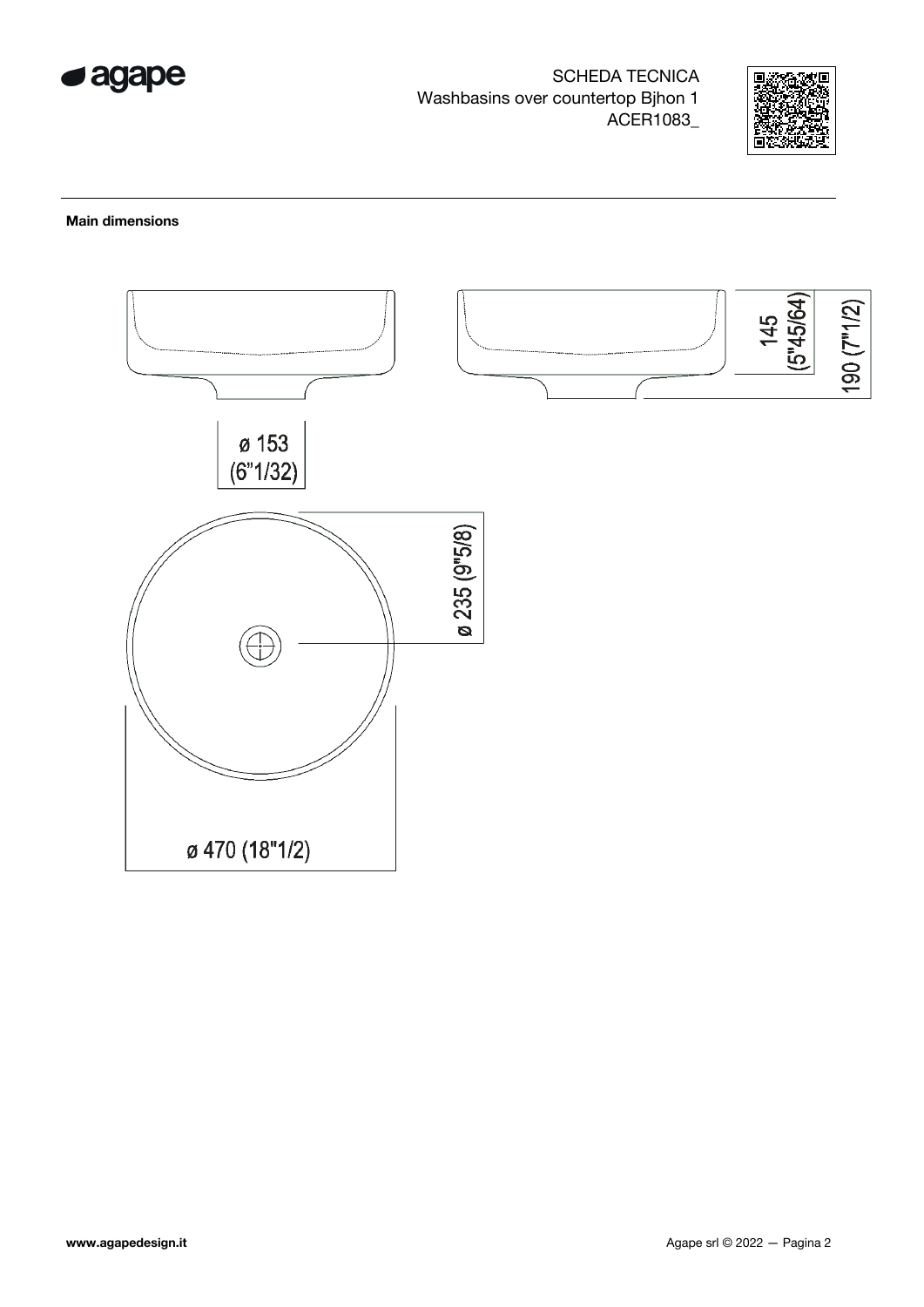



### Main dimensions

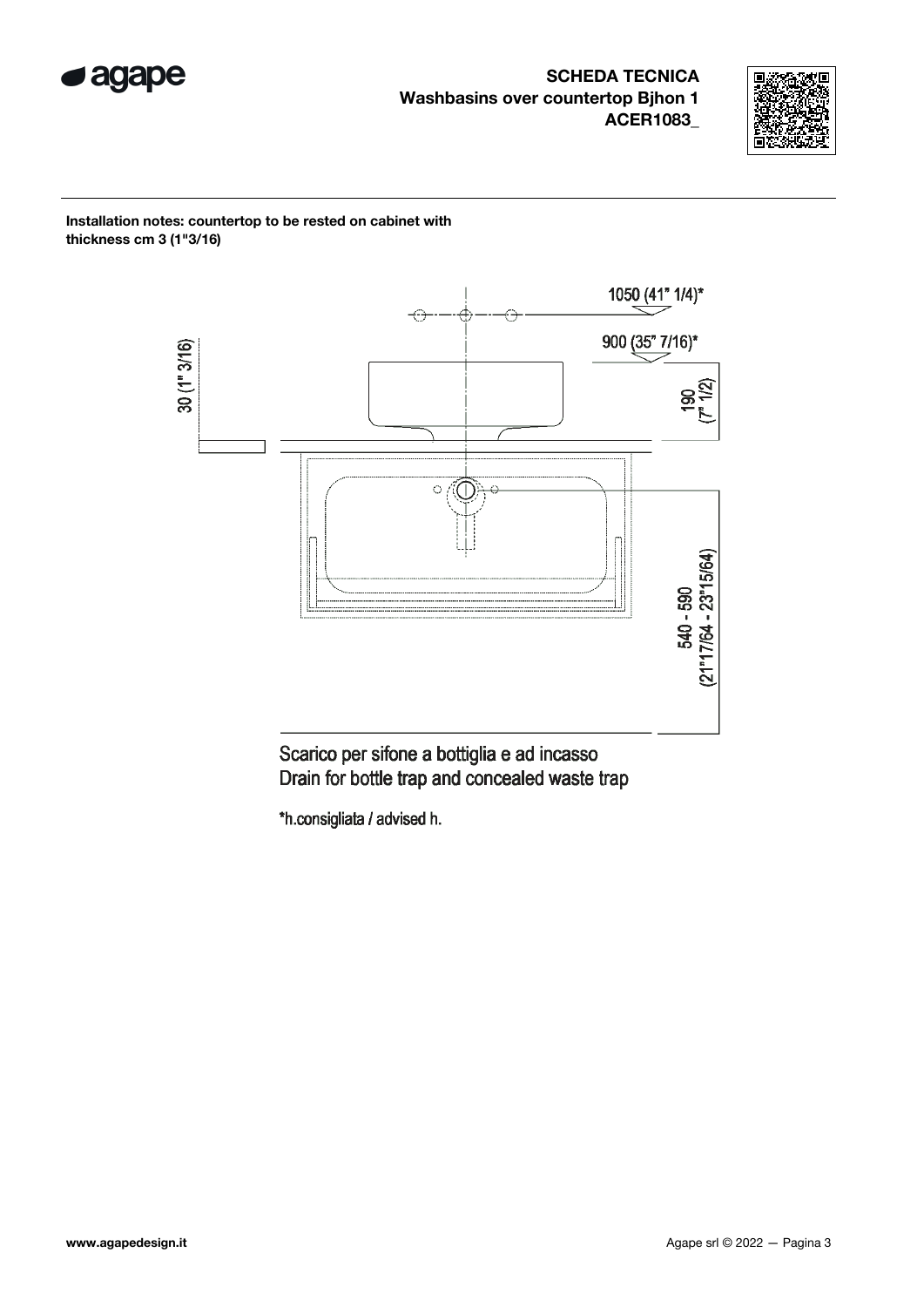



Installation notes: countertop to be rested on cabinet with thickness cm 3 (1"3/16)



Scarico per sifone a bottiglia e ad incasso Drain for bottle trap and concealed waste trap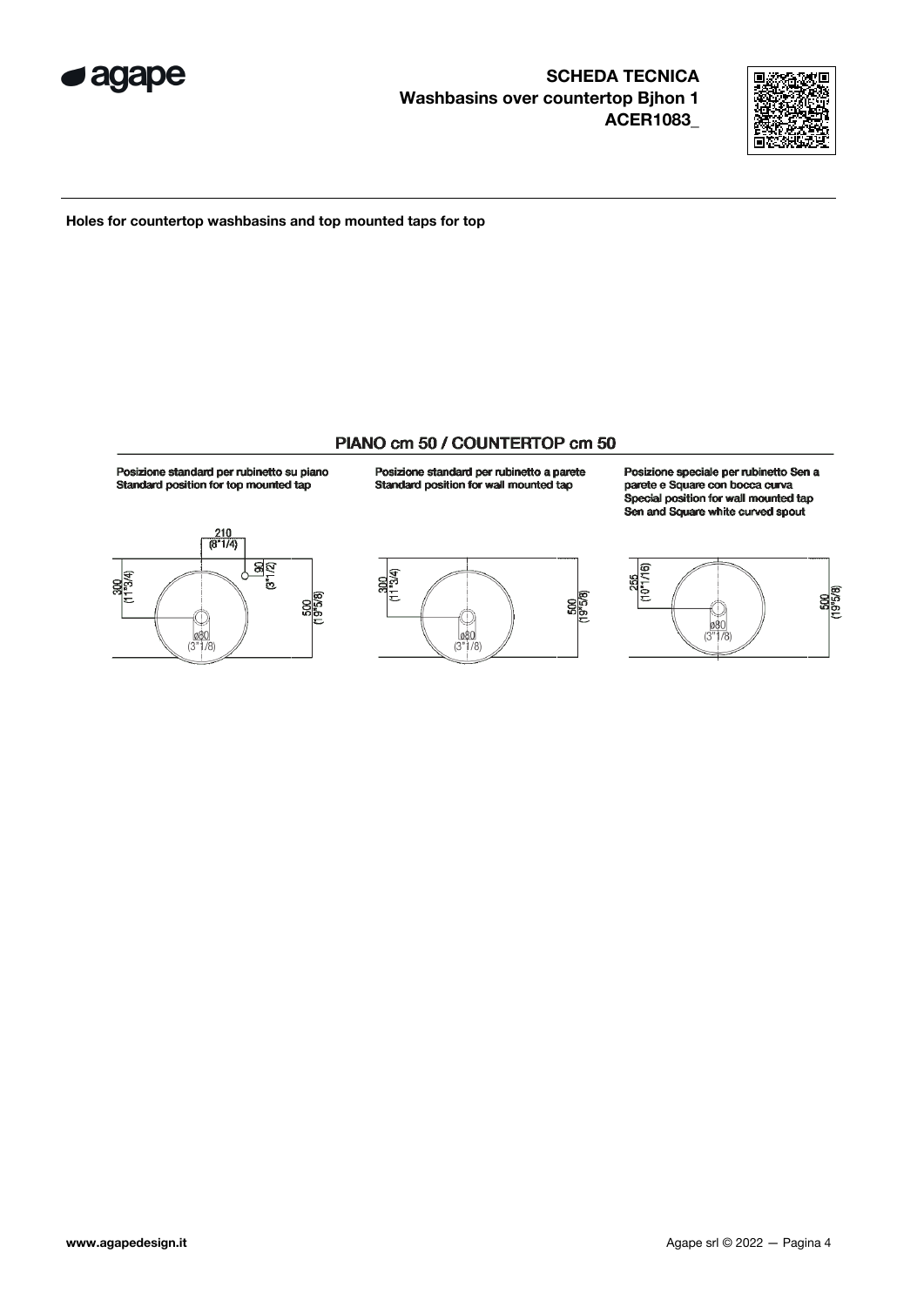



Holes for countertop washbasins and top mounted taps for top

## PIANO cm 50 / COUNTERTOP cm 50

Posizione standard per rubinetto su piano Standard position for top mounted tap



Posizione standard per rubinetto a parete<br>Standard position for wall mounted tap



Posizione speciale per rubinetto Sen a parete e Square con bocca curva Special position for wall mounted tap Sen and Square white curved spout

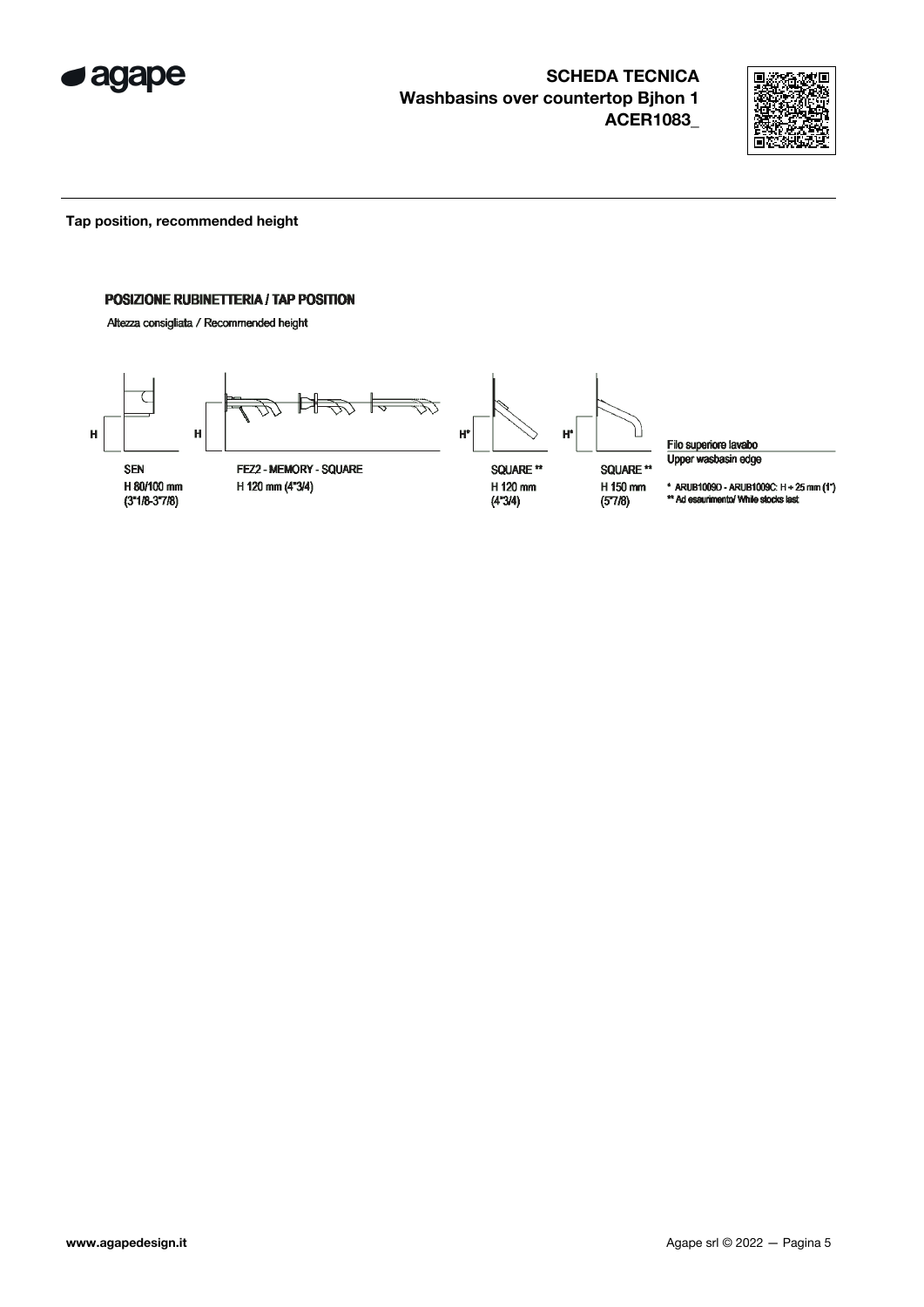



Tap position, recommended height

# POSIZIONE RUBINETTERIA / TAP POSITION

Altezza consigliata / Recommended height



Filo superiore lavabo Upper wasbasin edge

\* ARUB1009D - ARUB1009C:  $H + 25$  mm  $(1")$ <br>\*\* Ad esaurimento/ While stocks last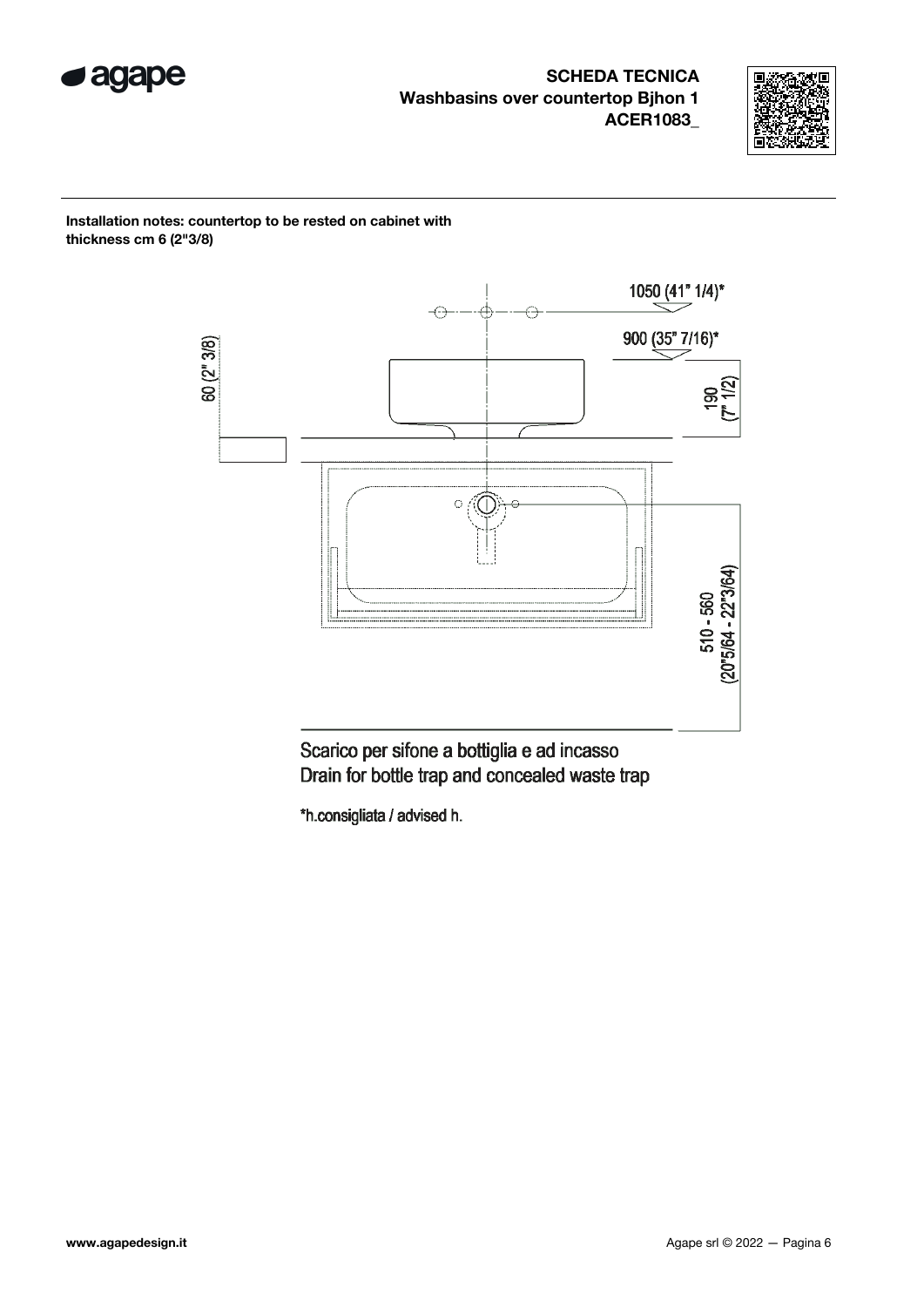



Installation notes: countertop to be rested on cabinet with thickness cm 6 (2"3/8)



Scarico per sifone a bottiglia e ad incasso Drain for bottle trap and concealed waste trap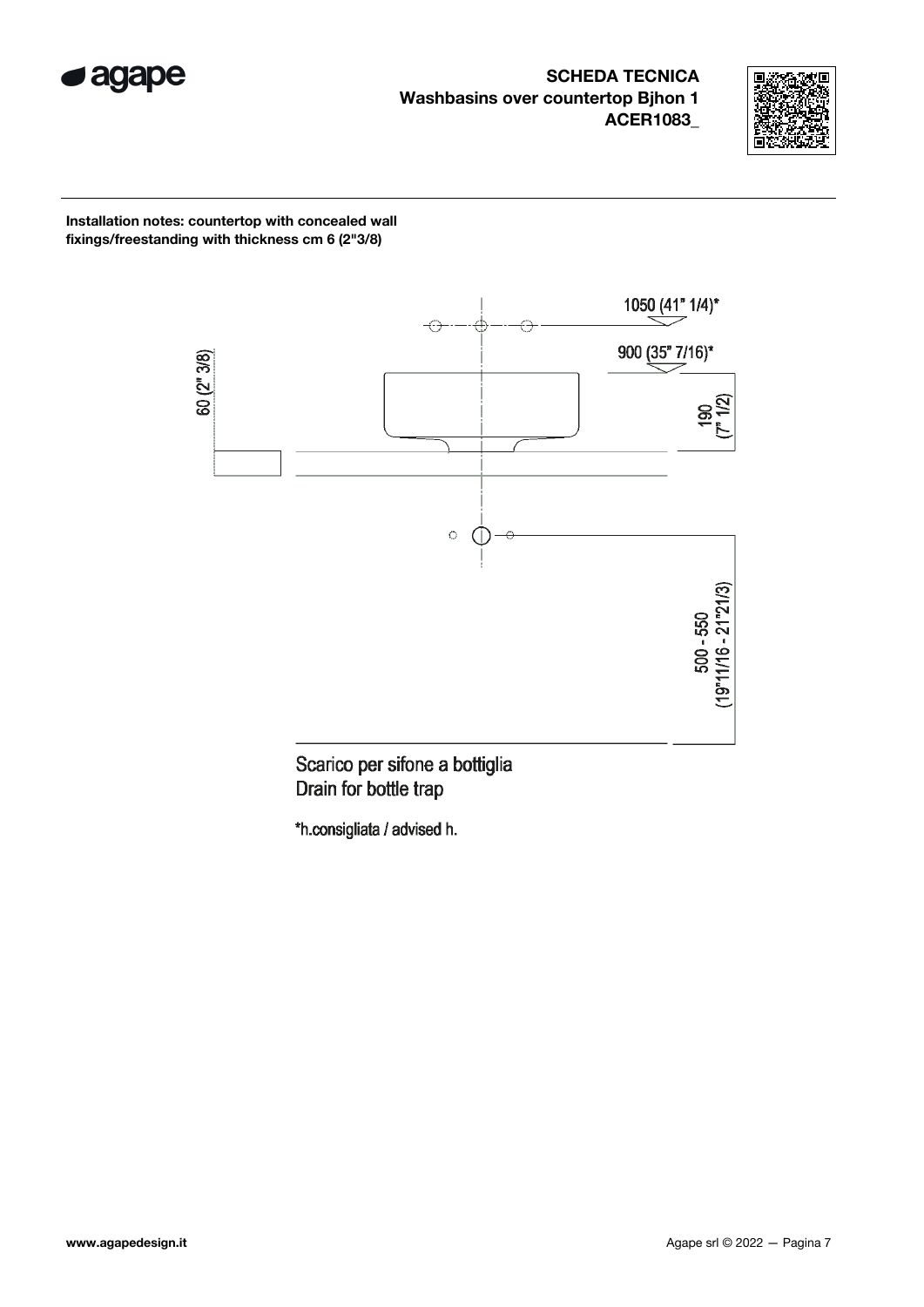



Installation notes: countertop with concealed wall fixings/freestanding with thickness cm 6 (2"3/8)



Scarico per sifone a bottiglia Drain for bottle trap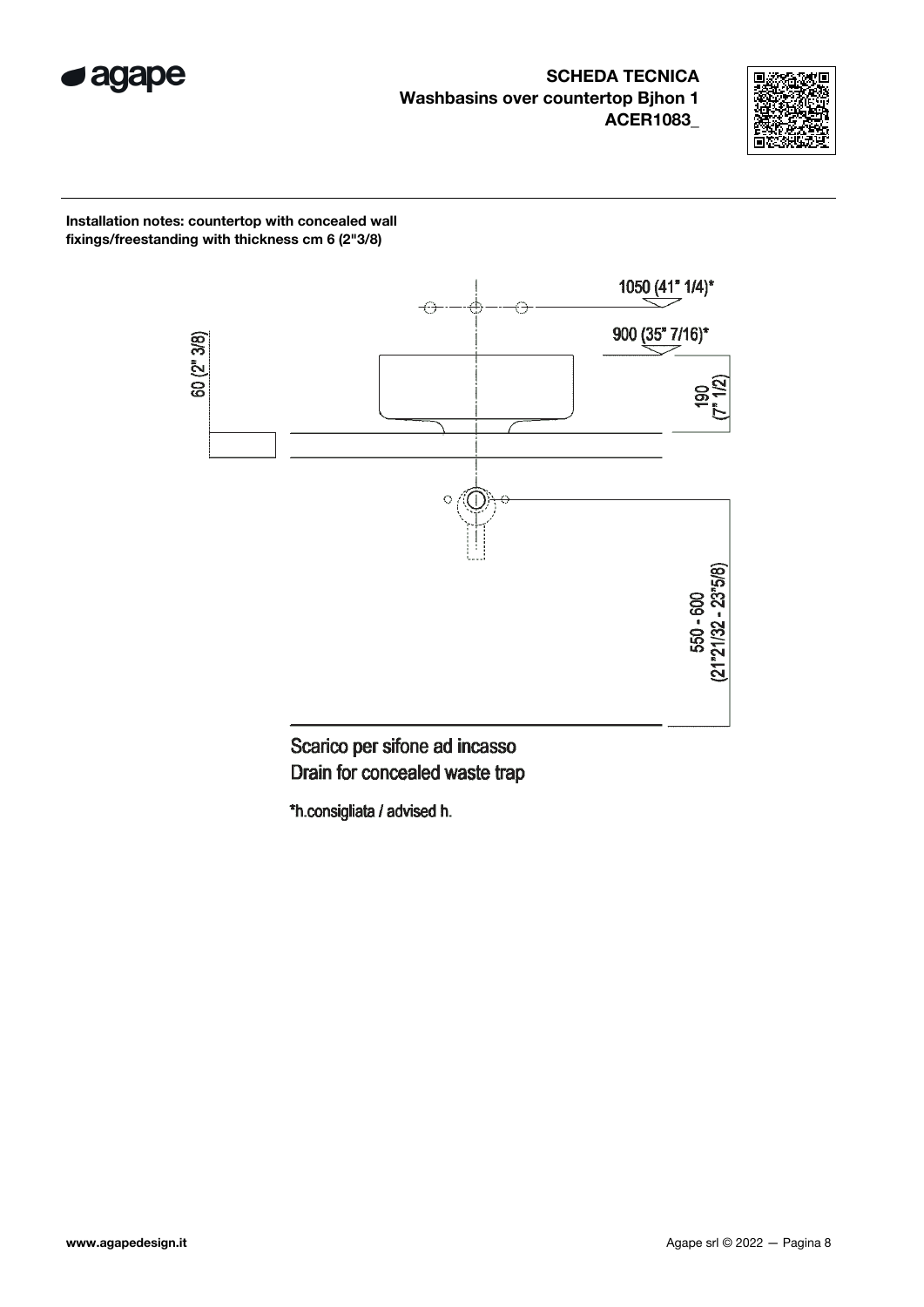



Installation notes: countertop with concealed wall fixings/freestanding with thickness cm 6 (2"3/8)



Scarico per sifone ad incasso Drain for concealed waste trap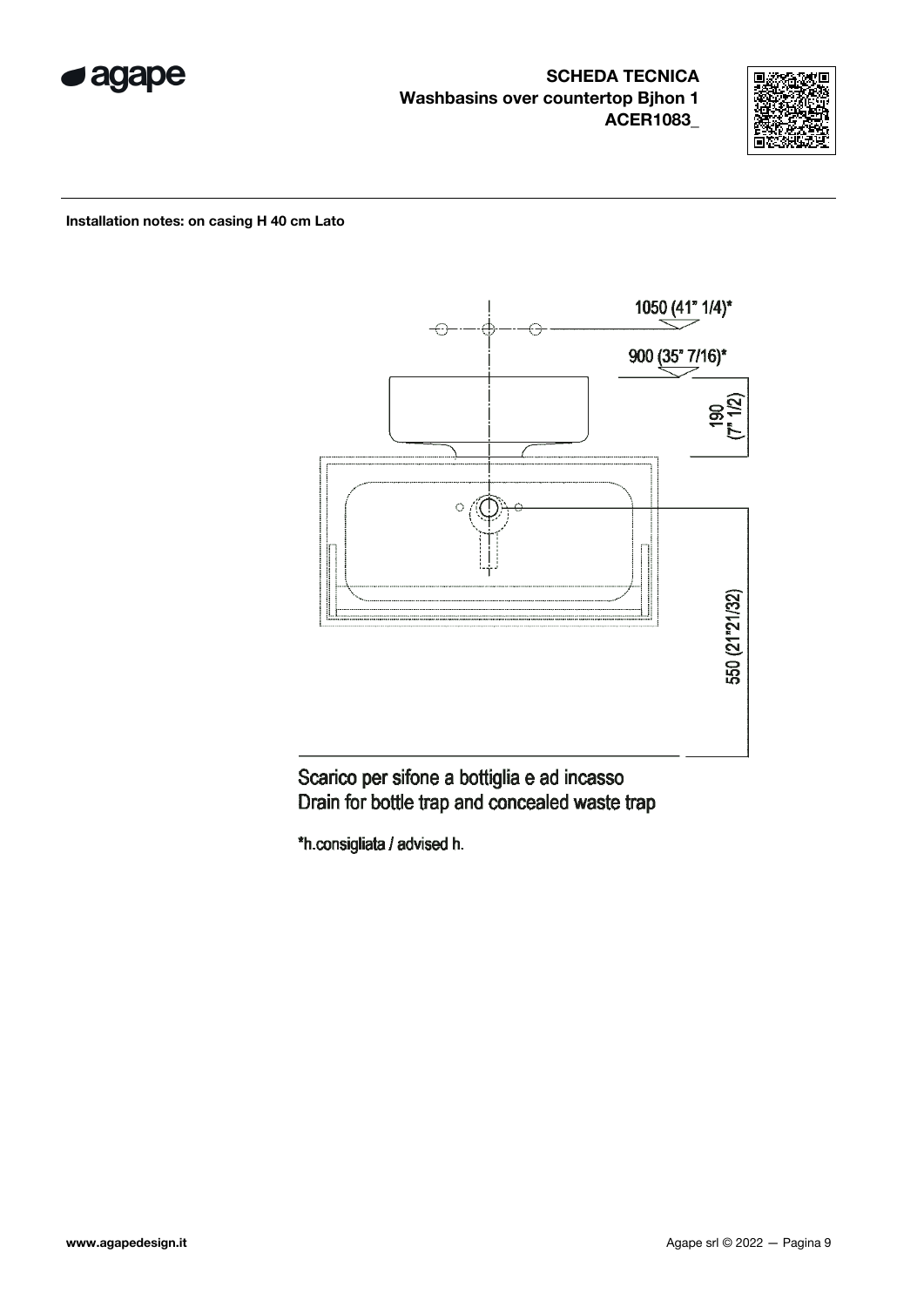



# Installation notes: on casing H 40 cm Lato



# Scarico per sifone a bottiglia e ad incasso Drain for bottle trap and concealed waste trap